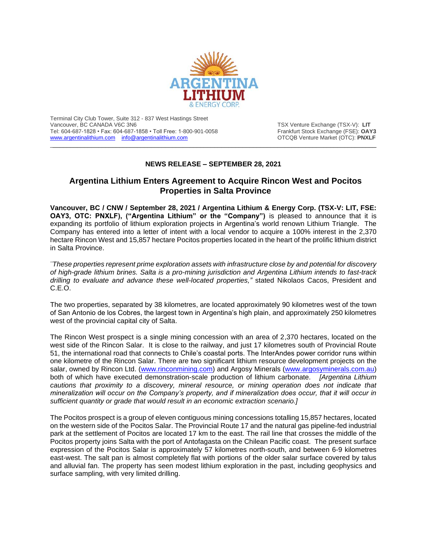

Terminal City Club Tower, Suite 312 - 837 West Hastings Street Vancouver, BC CANADA V6C 3N6 TSX Venture Exchange (TSX-V): LIT Tel: 604-687-1828 • Fax: 604-687-1858 • Toll Free: 1-800-901-0058 Frankfurt Stock Exchange (FSE): **OAY3** [www.argentinalithium.com](http://www.argentinalithium.com/) [info@argentinalithium.com](mailto:info@argentinalithium.com) **info@argentinalithium.com OTCQB** Venture Market (OTC): **PNXLF** 

## **NEWS RELEASE – SEPTEMBER 28, 2021**

 $\_$  , and the state of the state of the state of the state of the state of the state of the state of the state of the state of the state of the state of the state of the state of the state of the state of the state of the

# **Argentina Lithium Enters Agreement to Acquire Rincon West and Pocitos Properties in Salta Province**

**Vancouver, BC / CNW / September 28, 2021 / Argentina Lithium & Energy Corp. (TSX-V: LIT, FSE: OAY3, OTC: PNXLF), ("Argentina Lithium" or the "Company")** is pleased to announce that it is expanding its portfolio of lithium exploration projects in Argentina's world renown Lithium Triangle. The Company has entered into a letter of intent with a local vendor to acquire a 100% interest in the 2,370 hectare Rincon West and 15,857 hectare Pocitos properties located in the heart of the prolific lithium district in Salta Province.

*¨These properties represent prime exploration assets with infrastructure close by and potential for discovery of high-grade lithium brines. Salta is a pro-mining jurisdiction and Argentina Lithium intends to fast-track drilling to evaluate and advance these well-located properties,"* stated Nikolaos Cacos, President and C.E.O.

The two properties, separated by 38 kilometres, are located approximately 90 kilometres west of the town of San Antonio de los Cobres, the largest town in Argentina's high plain, and approximately 250 kilometres west of the provincial capital city of Salta.

The Rincon West prospect is a single mining concession with an area of 2,370 hectares, located on the west side of the Rincon Salar. It is close to the railway, and just 17 kilometres south of Provincial Route 51, the international road that connects to Chile's coastal ports. The InterAndes power corridor runs within one kilometre of the Rincon Salar. There are two significant lithium resource development projects on the salar, owned by Rincon Ltd. [\(www.rinconmining.com\)](http://www.rinconmining.com/) and Argosy Minerals [\(www.argosyminerals.com.au\)](http://www.argosyminerals.com.au/) both of which have executed demonstration-scale production of lithium carbonate. *[Argentina Lithium cautions that proximity to a discovery, mineral resource, or mining operation does not indicate that mineralization will occur on the Company's property, and if mineralization does occur, that it will occur in sufficient quantity or grade that would result in an economic extraction scenario.]*

The Pocitos prospect is a group of eleven contiguous mining concessions totalling 15,857 hectares, located on the western side of the Pocitos Salar. The Provincial Route 17 and the natural gas pipeline-fed industrial park at the settlement of Pocitos are located 17 km to the east. The rail line that crosses the middle of the Pocitos property joins Salta with the port of Antofagasta on the Chilean Pacific coast. The present surface expression of the Pocitos Salar is approximately 57 kilometres north-south, and between 6-9 kilometres east-west. The salt pan is almost completely flat with portions of the older salar surface covered by talus and alluvial fan. The property has seen modest lithium exploration in the past, including geophysics and surface sampling, with very limited drilling.